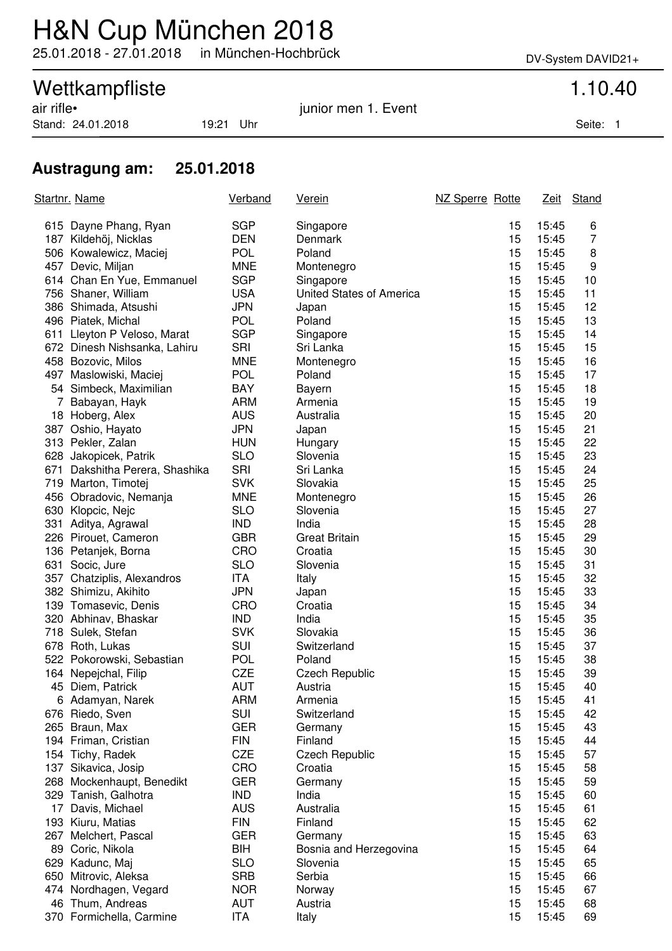## H&N Cup München 2018

25.01.2018 - 27.01.2018 in München-Hochbrück DV-System DAVID21+

# Wettkampfliste<br>
air rifle•<br>
1.10.40<br>
iunior men 1. Event

Stand: 24.01.2018 19:21 Uhr Seite: 1

junior men 1. Event

### **Austragung am: 25.01.2018**

| Startnr. Name |                                        | <b>Verband</b>           | <u>Verein</u>            | NZ Sperre Rotte |                | Zeit Stand |
|---------------|----------------------------------------|--------------------------|--------------------------|-----------------|----------------|------------|
|               | 615 Dayne Phang, Ryan                  | <b>SGP</b>               | Singapore                | 15              | 15:45          | 6          |
|               | 187 Kildehöj, Nicklas                  | <b>DEN</b>               | Denmark                  | 15              | 15:45          | 7          |
|               | 506 Kowalewicz, Maciej                 | <b>POL</b>               | Poland                   | 15              | 15:45          | 8          |
|               | 457 Devic, Miljan                      | <b>MNE</b>               | Montenegro               | 15              | 15:45          | 9          |
|               | 614 Chan En Yue, Emmanuel              | <b>SGP</b>               | Singapore                | 15              | 15:45          | 10         |
|               | 756 Shaner, William                    | <b>USA</b>               | United States of America | 15              | 15:45          | 11         |
|               | 386 Shimada, Atsushi                   | <b>JPN</b>               | Japan                    | 15              | 15:45          | 12         |
|               | 496 Piatek, Michal                     | <b>POL</b>               | Poland                   | 15              | 15:45          | 13         |
|               | 611 Lleyton P Veloso, Marat            | <b>SGP</b>               | Singapore                | 15              | 15:45          | 14         |
|               | 672 Dinesh Nishsanka, Lahiru           | SRI                      | Sri Lanka                | 15              | 15:45          | 15         |
|               | 458 Bozovic, Milos                     | <b>MNE</b>               | Montenegro               | 15              | 15:45          | 16         |
|               | 497 Maslowiski, Maciej                 | <b>POL</b>               | Poland                   | 15              | 15:45          | 17         |
|               | 54 Simbeck, Maximilian                 | <b>BAY</b>               | Bayern                   | 15              | 15:45          | 18         |
|               | 7 Babayan, Hayk                        | <b>ARM</b>               | Armenia                  | 15              | 15:45          | 19         |
|               | 18 Hoberg, Alex                        | <b>AUS</b>               | Australia                | 15              | 15:45          | 20         |
|               | 387 Oshio, Hayato                      | <b>JPN</b>               | Japan                    | 15              | 15:45          | 21         |
|               | 313 Pekler, Zalan                      | <b>HUN</b>               | Hungary                  | 15              | 15:45          | 22         |
|               | 628 Jakopicek, Patrik                  | <b>SLO</b>               | Slovenia                 | 15              | 15:45          | 23         |
|               | 671 Dakshitha Perera, Shashika         | <b>SRI</b>               | Sri Lanka                | 15              | 15:45          | 24         |
|               | 719 Marton, Timotej                    | <b>SVK</b>               | Slovakia                 | 15              | 15:45          | 25         |
|               | 456 Obradovic, Nemanja                 | <b>MNE</b>               | Montenegro               | 15              | 15:45          | 26         |
|               | 630 Klopcic, Nejc                      | <b>SLO</b>               | Slovenia                 | 15              | 15:45          | 27         |
|               | 331 Aditya, Agrawal                    | <b>IND</b>               | India                    | 15              | 15:45          | 28         |
|               | 226 Pirouet, Cameron                   | <b>GBR</b>               | <b>Great Britain</b>     | 15              | 15:45          | 29         |
|               | 136 Petanjek, Borna                    | CRO                      | Croatia                  | 15              | 15:45          | 30         |
|               | 631 Socic, Jure                        | <b>SLO</b>               | Slovenia                 | 15              | 15:45          | 31         |
|               | 357 Chatziplis, Alexandros             | ITA                      | Italy                    | 15              | 15:45          | 32         |
|               | 382 Shimizu, Akihito                   | <b>JPN</b>               | Japan                    | 15              | 15:45          | 33         |
|               | 139 Tomasevic, Denis                   | CRO                      | Croatia                  | 15              | 15:45          | 34         |
|               | 320 Abhinav, Bhaskar                   | <b>IND</b>               | India                    | 15              | 15:45          | 35         |
|               | 718 Sulek, Stefan                      | <b>SVK</b>               | Slovakia                 | 15              | 15:45          | 36         |
|               | 678 Roth, Lukas                        | SUI                      | Switzerland              | 15              | 15:45          | 37         |
|               | 522 Pokorowski, Sebastian              | <b>POL</b>               | Poland                   | 15              | 15:45          | 38         |
|               | 164 Nepejchal, Filip                   | <b>CZE</b>               | <b>Czech Republic</b>    | 15              | 15:45          | 39         |
|               | 45 Diem, Patrick                       | <b>AUT</b>               | Austria                  | 15              | 15:45          | 40         |
|               | 6 Adamyan, Narek                       | ARM                      | Armenia                  | 15              | 15:45          | 41         |
|               | 676 Riedo, Sven                        | SUI                      | Switzerland              | 15              | 15:45          | 42         |
|               | 265 Braun, Max                         | <b>GER</b>               | Germany                  | 15              | 15:45          | 43         |
|               | 194 Friman, Cristian                   | <b>FIN</b>               | Finland                  | 15              | 15:45          | 44         |
|               | 154 Tichy, Radek                       | CZE                      | <b>Czech Republic</b>    | 15              | 15:45          | 57         |
|               | 137 Sikavica, Josip                    | CRO                      | Croatia                  | 15              | 15:45          | 58         |
|               | 268 Mockenhaupt, Benedikt              | <b>GER</b>               | Germany                  | 15              | 15:45          | 59         |
|               | 329 Tanish, Galhotra                   | <b>IND</b>               | India                    | 15              | 15:45          | 60         |
|               | 17 Davis, Michael<br>193 Kiuru, Matias | <b>AUS</b><br><b>FIN</b> | Australia<br>Finland     | 15<br>15        | 15:45<br>15:45 | 61<br>62   |
|               | 267 Melchert, Pascal                   | <b>GER</b>               | Germany                  | 15              | 15:45          | 63         |
|               | 89 Coric, Nikola                       | BIH                      | Bosnia and Herzegovina   | 15              | 15:45          | 64         |
|               | 629 Kadunc, Maj                        | <b>SLO</b>               | Slovenia                 | 15              | 15:45          | 65         |
|               | 650 Mitrovic, Aleksa                   | <b>SRB</b>               | Serbia                   | 15              | 15:45          | 66         |
|               | 474 Nordhagen, Vegard                  | <b>NOR</b>               | Norway                   | 15              | 15:45          | 67         |
|               | 46 Thum, Andreas                       | <b>AUT</b>               | Austria                  | 15              | 15:45          | 68         |
|               | 370 Formichella, Carmine               | <b>ITA</b>               | Italy                    | 15              | 15:45          | 69         |
|               |                                        |                          |                          |                 |                |            |